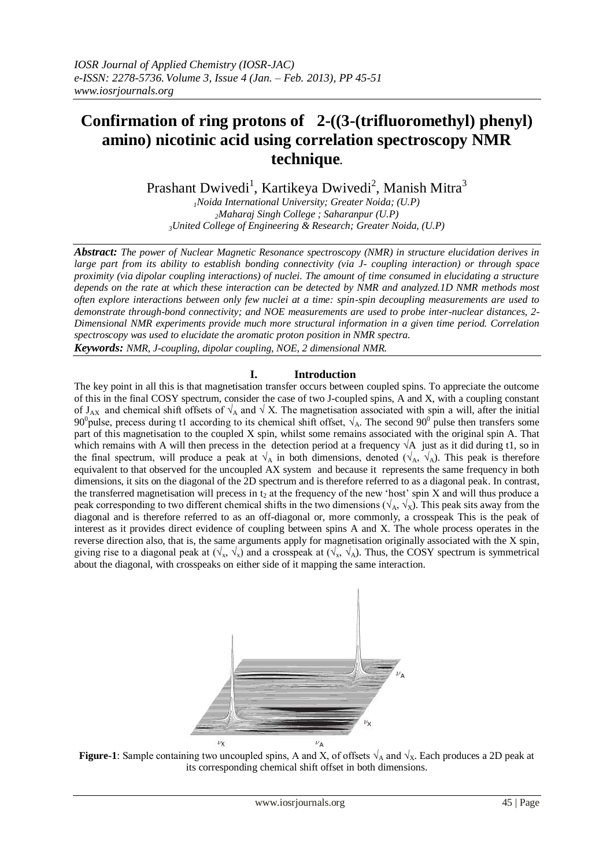# **Confirmation of ring protons of 2-((3-(trifluoromethyl) phenyl) amino) nicotinic acid using correlation spectroscopy NMR technique.**

Prashant Dwivedi<sup>1</sup>, Kartikeya Dwivedi<sup>2</sup>, Manish Mitra<sup>3</sup>

*<sup>1</sup>Noida International University; Greater Noida; (U.P) <sup>2</sup>Maharaj Singh College ; Saharanpur (U.P) <sup>3</sup>United College of Engineering & Research; Greater Noida, (U.P)*

*Abstract: The power of Nuclear Magnetic Resonance spectroscopy (NMR) in structure elucidation derives in large part from its ability to establish bonding connectivity (via J- coupling interaction) or through space proximity (via dipolar coupling interactions) of nuclei. The amount of time consumed in elucidating a structure depends on the rate at which these interaction can be detected by NMR and analyzed.1D NMR methods most often explore interactions between only few nuclei at a time: spin-spin decoupling measurements are used to demonstrate through-bond connectivity; and NOE measurements are used to probe inter-nuclear distances, 2- Dimensional NMR experiments provide much more structural information in a given time period. Correlation spectroscopy was used to elucidate the aromatic proton position in NMR spectra. Keywords: NMR, J-coupling, dipolar coupling, NOE, 2 dimensional NMR.*

#### **I. Introduction**

The key point in all this is that magnetisation transfer occurs between coupled spins. To appreciate the outcome of this in the final COSY spectrum, consider the case of two J-coupled spins, A and X, with a coupling constant of J<sub>AX</sub> and chemical shift offsets of  $\sqrt{A}$  and  $\sqrt{X}$ . The magnetisation associated with spin a will, after the initial 90<sup>0</sup> pulse, precess during t1 according to its chemical shift offset,  $\sqrt{ }_A$ . The second 90<sup>0</sup> pulse then transfers some part of this magnetisation to the coupled X spin, whilst some remains associated with the original spin A. That which remains with A will then precess in the detection period at a frequency  $\sqrt{A}$  just as it did during t1, so in the final spectrum, will produce a peak at  $\sqrt{A}$  in both dimensions, denoted ( $\sqrt{A}$ ,  $\sqrt{A}$ ). This peak is therefore equivalent to that observed for the uncoupled AX system and because it represents the same frequency in both dimensions, it sits on the diagonal of the 2D spectrum and is therefore referred to as a diagonal peak. In contrast, the transferred magnetisation will precess in  $t_2$  at the frequency of the new 'host' spin X and will thus produce a peak corresponding to two different chemical shifts in the two dimensions ( $\sqrt{A}$ ,  $\sqrt{x}$ ). This peak sits away from the diagonal and is therefore referred to as an off-diagonal or, more commonly, a crosspeak This is the peak of interest as it provides direct evidence of coupling between spins A and X. The whole process operates in the reverse direction also, that is, the same arguments apply for magnetisation originally associated with the X spin, giving rise to a diagonal peak at  $(\sqrt{x}, \sqrt{x})$  and a crosspeak at  $(\sqrt{x}, \sqrt{A})$ . Thus, the COSY spectrum is symmetrical about the diagonal, with crosspeaks on either side of it mapping the same interaction.



**Figure-1**: Sample containing two uncoupled spins, A and X, of offsets  $\sqrt{4}$  and  $\sqrt{x}$ . Each produces a 2D peak at its corresponding chemical shift offset in both dimensions.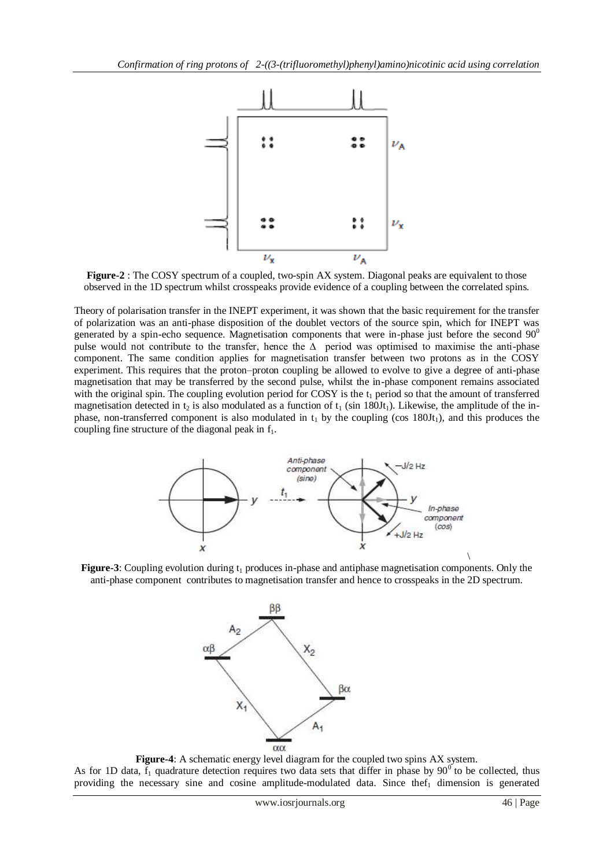

**Figure-2** : The COSY spectrum of a coupled, two-spin AX system. Diagonal peaks are equivalent to those observed in the 1D spectrum whilst crosspeaks provide evidence of a coupling between the correlated spins.

Theory of polarisation transfer in the INEPT experiment, it was shown that the basic requirement for the transfer of polarization was an anti-phase disposition of the doublet vectors of the source spin, which for INEPT was generated by a spin-echo sequence. Magnetisation components that were in-phase just before the second  $90^{\circ}$ pulse would not contribute to the transfer, hence the ∆ period was optimised to maximise the anti-phase component. The same condition applies for magnetisation transfer between two protons as in the COSY experiment. This requires that the proton–proton coupling be allowed to evolve to give a degree of anti-phase magnetisation that may be transferred by the second pulse, whilst the in-phase component remains associated with the original spin. The coupling evolution period for COSY is the  $t_1$  period so that the amount of transferred magnetisation detected in t<sub>2</sub> is also modulated as a function of  $t_1$  (sin 180Jt<sub>1</sub>). Likewise, the amplitude of the inphase, non-transferred component is also modulated in  $t_1$  by the coupling (cos 180Jt<sub>1</sub>), and this produces the coupling fine structure of the diagonal peak in  $f_1$ .



**Figure-3**: Coupling evolution during t<sub>1</sub> produces in-phase and antiphase magnetisation components. Only the anti-phase component contributes to magnetisation transfer and hence to crosspeaks in the 2D spectrum.



**Figure-4**: A schematic energy level diagram for the coupled two spins AX system. As for 1D data,  $f_1$  quadrature detection requires two data sets that differ in phase by 90<sup>0</sup> to be collected, thus providing the necessary sine and cosine amplitude-modulated data. Since the  $f_1$  dimension is generated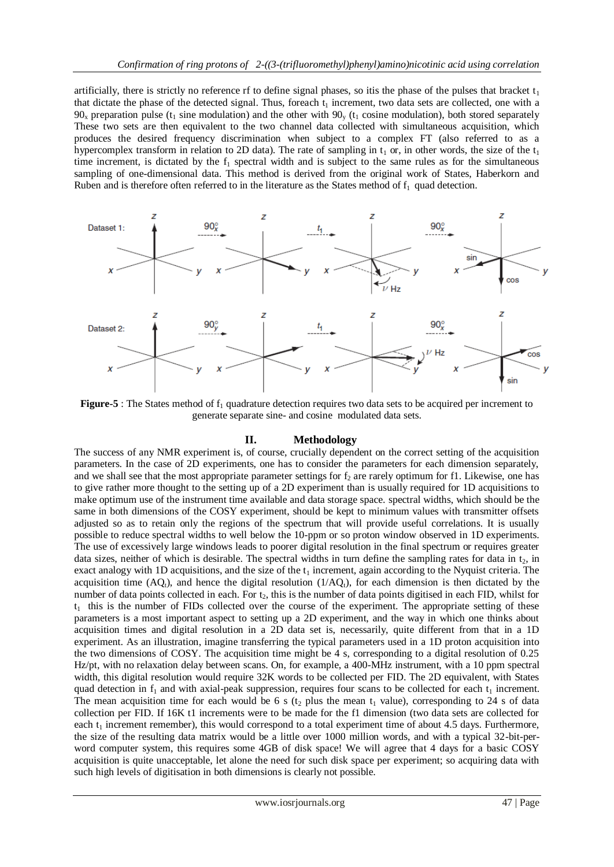artificially, there is strictly no reference rf to define signal phases, so itis the phase of the pulses that bracket  $t_1$ that dictate the phase of the detected signal. Thus, foreach  $t_1$  increment, two data sets are collected, one with a  $90<sub>x</sub>$  preparation pulse (t<sub>1</sub> sine modulation) and the other with  $90<sub>y</sub>$  (t<sub>1</sub> cosine modulation), both stored separately These two sets are then equivalent to the two channel data collected with simultaneous acquisition, which produces the desired frequency discrimination when subject to a complex FT (also referred to as a hypercomplex transform in relation to 2D data). The rate of sampling in  $t_1$  or, in other words, the size of the  $t_1$ time increment, is dictated by the  $f_1$  spectral width and is subject to the same rules as for the simultaneous sampling of one-dimensional data. This method is derived from the original work of States, Haberkorn and Ruben and is therefore often referred to in the literature as the States method of  $f_1$  quad detection.



**Figure-5** : The States method of  $f_1$  quadrature detection requires two data sets to be acquired per increment to generate separate sine- and cosine modulated data sets.

### **II. Methodology**

The success of any NMR experiment is, of course, crucially dependent on the correct setting of the acquisition parameters. In the case of 2D experiments, one has to consider the parameters for each dimension separately, and we shall see that the most appropriate parameter settings for  $f_2$  are rarely optimum for f1. Likewise, one has to give rather more thought to the setting up of a 2D experiment than is usually required for 1D acquisitions to make optimum use of the instrument time available and data storage space. spectral widths, which should be the same in both dimensions of the COSY experiment, should be kept to minimum values with transmitter offsets adjusted so as to retain only the regions of the spectrum that will provide useful correlations. It is usually possible to reduce spectral widths to well below the 10-ppm or so proton window observed in 1D experiments. The use of excessively large windows leads to poorer digital resolution in the final spectrum or requires greater data sizes, neither of which is desirable. The spectral widths in turn define the sampling rates for data in  $t_2$ , in exact analogy with 1D acquisitions, and the size of the  $t_1$  increment, again according to the Nyquist criteria. The acquisition time  $(AQ_t)$ , and hence the digital resolution  $(1/AQ_t)$ , for each dimension is then dictated by the number of data points collected in each. For  $t<sub>2</sub>$ , this is the number of data points digitised in each FID, whilst for  $t_1$  this is the number of FIDs collected over the course of the experiment. The appropriate setting of these parameters is a most important aspect to setting up a 2D experiment, and the way in which one thinks about acquisition times and digital resolution in a 2D data set is, necessarily, quite different from that in a 1D experiment. As an illustration, imagine transferring the typical parameters used in a 1D proton acquisition into the two dimensions of COSY. The acquisition time might be 4 s, corresponding to a digital resolution of 0.25 Hz/pt, with no relaxation delay between scans. On, for example, a 400-MHz instrument, with a 10 ppm spectral width, this digital resolution would require 32K words to be collected per FID. The 2D equivalent, with States quad detection in  $f_1$  and with axial-peak suppression, requires four scans to be collected for each  $t_1$  increment. The mean acquisition time for each would be 6 s ( $t_2$  plus the mean  $t_1$  value), corresponding to 24 s of data collection per FID. If 16K t1 increments were to be made for the f1 dimension (two data sets are collected for each  $t_1$  increment remember), this would correspond to a total experiment time of about 4.5 days. Furthermore, the size of the resulting data matrix would be a little over 1000 million words, and with a typical 32-bit-perword computer system, this requires some 4GB of disk space! We will agree that 4 days for a basic COSY acquisition is quite unacceptable, let alone the need for such disk space per experiment; so acquiring data with such high levels of digitisation in both dimensions is clearly not possible.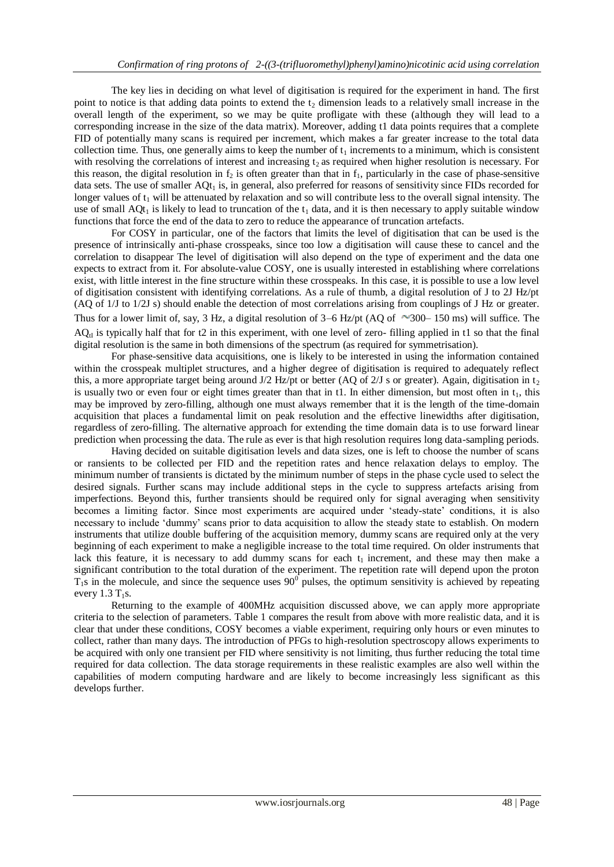The key lies in deciding on what level of digitisation is required for the experiment in hand. The first point to notice is that adding data points to extend the  $t_2$  dimension leads to a relatively small increase in the overall length of the experiment, so we may be quite profligate with these (although they will lead to a corresponding increase in the size of the data matrix). Moreover, adding t1 data points requires that a complete FID of potentially many scans is required per increment, which makes a far greater increase to the total data collection time. Thus, one generally aims to keep the number of  $t_1$  increments to a minimum, which is consistent with resolving the correlations of interest and increasing  $t_2$  as required when higher resolution is necessary. For this reason, the digital resolution in  $f_2$  is often greater than that in  $f_1$ , particularly in the case of phase-sensitive data sets. The use of smaller  $AQt_1$  is, in general, also preferred for reasons of sensitivity since FIDs recorded for longer values of  $t_1$  will be attenuated by relaxation and so will contribute less to the overall signal intensity. The use of small  $AQt_1$  is likely to lead to truncation of the  $t_1$  data, and it is then necessary to apply suitable window functions that force the end of the data to zero to reduce the appearance of truncation artefacts.

For COSY in particular, one of the factors that limits the level of digitisation that can be used is the presence of intrinsically anti-phase crosspeaks, since too low a digitisation will cause these to cancel and the correlation to disappear The level of digitisation will also depend on the type of experiment and the data one expects to extract from it. For absolute-value COSY, one is usually interested in establishing where correlations exist, with little interest in the fine structure within these crosspeaks. In this case, it is possible to use a low level of digitisation consistent with identifying correlations. As a rule of thumb, a digital resolution of J to 2J Hz/pt (AQ of 1/J to 1/2J s) should enable the detection of most correlations arising from couplings of J Hz or greater. Thus for a lower limit of, say, 3 Hz, a digital resolution of  $3-6$  Hz/pt (AQ of  $\sim$ 300–150 ms) will suffice. The  $AQ_{\text{t}}$  is typically half that for t2 in this experiment, with one level of zero- filling applied in t1 so that the final digital resolution is the same in both dimensions of the spectrum (as required for symmetrisation).

For phase-sensitive data acquisitions, one is likely to be interested in using the information contained within the crosspeak multiplet structures, and a higher degree of digitisation is required to adequately reflect this, a more appropriate target being around  $J/2$  Hz/pt or better (AQ of 2/J s or greater). Again, digitisation in t<sub>2</sub> is usually two or even four or eight times greater than that in t1. In either dimension, but most often in  $t_1$ , this may be improved by zero-filling, although one must always remember that it is the length of the time-domain acquisition that places a fundamental limit on peak resolution and the effective linewidths after digitisation, regardless of zero-filling. The alternative approach for extending the time domain data is to use forward linear prediction when processing the data. The rule as ever is that high resolution requires long data-sampling periods.

Having decided on suitable digitisation levels and data sizes, one is left to choose the number of scans or ransients to be collected per FID and the repetition rates and hence relaxation delays to employ. The minimum number of transients is dictated by the minimum number of steps in the phase cycle used to select the desired signals. Further scans may include additional steps in the cycle to suppress artefacts arising from imperfections. Beyond this, further transients should be required only for signal averaging when sensitivity becomes a limiting factor. Since most experiments are acquired under 'steady-state' conditions, it is also necessary to include 'dummy' scans prior to data acquisition to allow the steady state to establish. On modern instruments that utilize double buffering of the acquisition memory, dummy scans are required only at the very beginning of each experiment to make a negligible increase to the total time required. On older instruments that lack this feature, it is necessary to add dummy scans for each  $t_1$  increment, and these may then make a significant contribution to the total duration of the experiment. The repetition rate will depend upon the proton  $T_1$ s in the molecule, and since the sequence uses  $90^\circ$  pulses, the optimum sensitivity is achieved by repeating every  $1.3$  T<sub>1</sub>s.

Returning to the example of 400MHz acquisition discussed above, we can apply more appropriate criteria to the selection of parameters. Table 1 compares the result from above with more realistic data, and it is clear that under these conditions, COSY becomes a viable experiment, requiring only hours or even minutes to collect, rather than many days. The introduction of PFGs to high-resolution spectroscopy allows experiments to be acquired with only one transient per FID where sensitivity is not limiting, thus further reducing the total time required for data collection. The data storage requirements in these realistic examples are also well within the capabilities of modern computing hardware and are likely to become increasingly less significant as this develops further.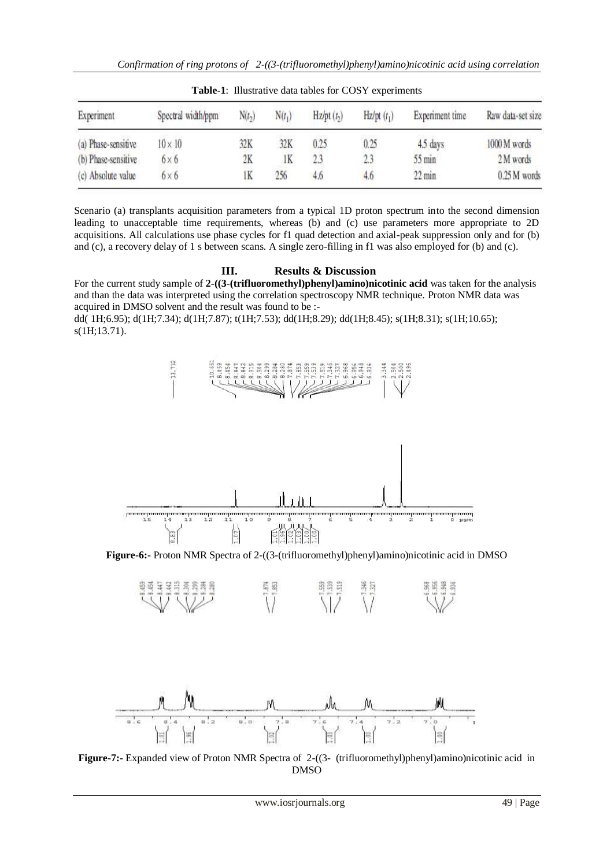| $-$ which is interested to which we have the contract of $-$ . We have the set of $-$ |                    |          |          |              |                        |                  |                   |
|---------------------------------------------------------------------------------------|--------------------|----------|----------|--------------|------------------------|------------------|-------------------|
| Experiment                                                                            | Spectral width/ppm | $N(t_2)$ | $N(t_1)$ | $Hz/pt(t_2)$ | Hz(pt(t <sub>1</sub> ) | Experiment time  | Raw data-set size |
| (a) Phase-sensitive                                                                   | $10 \times 10$     | 32K      | 32K      | 0.25         | 0.25                   | 4.5 days         | 1000 M words      |
| (b) Phase-sensitive                                                                   | $6 \times 6$       | 2K       | lK       | 2.3          | 2.3                    | $55$ min         | 2M words          |
| (c) Absolute value                                                                    | $6 \times 6$       | ΙK       | 256      | 4.6          | 4.6                    | $22 \text{ min}$ | 0.25 M words      |

**Table-1**: Illustrative data tables for COSY experiments

Scenario (a) transplants acquisition parameters from a typical 1D proton spectrum into the second dimension leading to unacceptable time requirements, whereas (b) and (c) use parameters more appropriate to 2D acquisitions. All calculations use phase cycles for f1 quad detection and axial-peak suppression only and for (b) and (c), a recovery delay of 1 s between scans. A single zero-filling in f1 was also employed for (b) and (c).

## **III. Results & Discussion**

For the current study sample of **2-((3-(trifluoromethyl)phenyl)amino)nicotinic acid** was taken for the analysis and than the data was interpreted using the correlation spectroscopy NMR technique. Proton NMR data was acquired in DMSO solvent and the result was found to be :-

dd( 1H;6.95); d(1H;7.34); d(1H;7.87); t(1H;7.53); dd(1H;8.29); dd(1H;8.45); s(1H;8.31); s(1H;10.65); s(1H;13.71).



**Figure-6:-** Proton NMR Spectra of 2-((3-(trifluoromethyl)phenyl)amino)nicotinic acid in DMSO





**Figure-7:-** Expanded view of Proton NMR Spectra of 2-((3- (trifluoromethyl)phenyl)amino)nicotinic acid in DMSO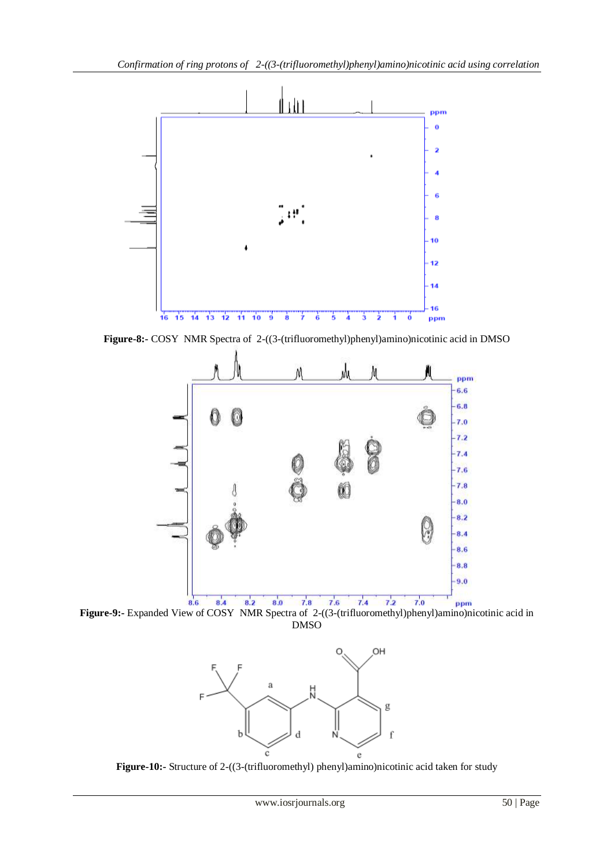

**Figure-8:-** COSY NMR Spectra of 2-((3-(trifluoromethyl)phenyl)amino)nicotinic acid in DMSO



**Figure-9:-** Expanded View of COSY NMR Spectra of 2-((3-(trifluoromethyl)phenyl)amino)nicotinic acid in DMSO



**Figure-10:-** Structure of 2-((3-(trifluoromethyl) phenyl)amino)nicotinic acid taken for study